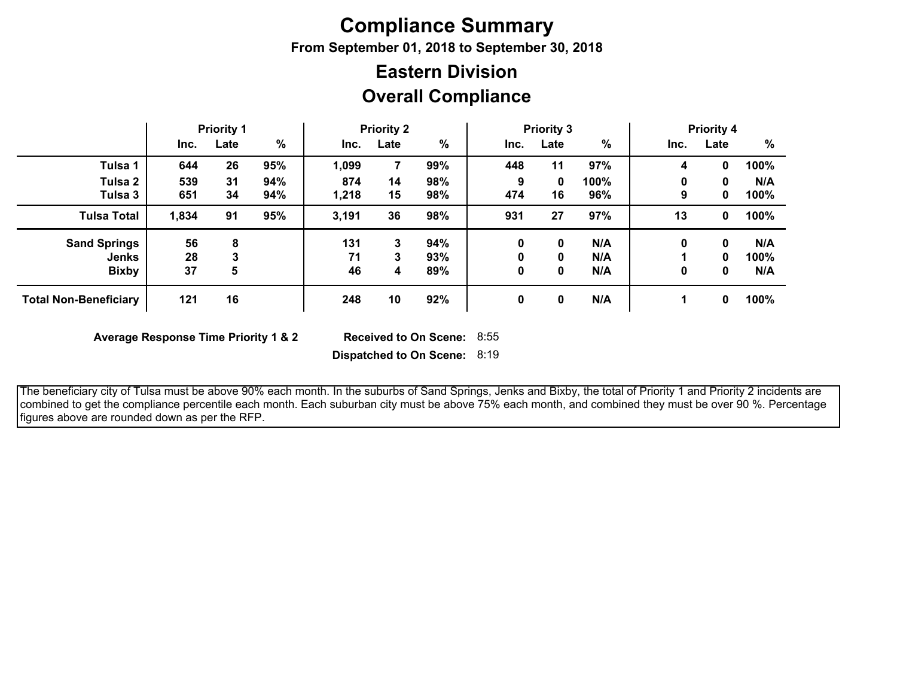## **Compliance Summary**

**From September 01, 2018 to September 30, 2018**

## **Overall Compliance Eastern Division**

|                              |       | <b>Priority 1</b> |     |       | <b>Priority 2</b> |     |      | <b>Priority 3</b> |      |      | <b>Priority 4</b> |      |
|------------------------------|-------|-------------------|-----|-------|-------------------|-----|------|-------------------|------|------|-------------------|------|
|                              | Inc.  | Late              | %   | Inc.  | Late              | %   | Inc. | Late              | %    | Inc. | Late              | %    |
| Tulsa 1                      | 644   | 26                | 95% | 1,099 |                   | 99% | 448  | 11                | 97%  | 4    | 0                 | 100% |
| Tulsa 2                      | 539   | 31                | 94% | 874   | 14                | 98% | 9    | 0                 | 100% | 0    | 0                 | N/A  |
| Tulsa 3                      | 651   | 34                | 94% | 1,218 | 15                | 98% | 474  | 16                | 96%  | 9    | 0                 | 100% |
| <b>Tulsa Total</b>           | 1,834 | 91                | 95% | 3,191 | 36                | 98% | 931  | 27                | 97%  | 13   | 0                 | 100% |
| <b>Sand Springs</b>          | 56    | 8                 |     | 131   | 3                 | 94% | 0    | 0                 | N/A  | 0    | 0                 | N/A  |
| <b>Jenks</b>                 | 28    | 3                 |     | 71    | 3                 | 93% | 0    | 0                 | N/A  |      | 0                 | 100% |
| <b>Bixby</b>                 | 37    | 5                 |     | 46    | 4                 | 89% | 0    | 0                 | N/A  | 0    | 0                 | N/A  |
| <b>Total Non-Beneficiary</b> | 121   | 16                |     | 248   | 10                | 92% | 0    | 0                 | N/A  |      | 0                 | 100% |

**Average Response Time Priority 1 & 2** 

Received to On Scene: 8:55

**Dispatched to On Scene:** 8:19

 The beneficiary city of Tulsa must be above 90% each month. In the suburbs of Sand Springs, Jenks and Bixby, the total of Priority 1 and Priority 2 incidents are combined to get the compliance percentile each month. Each suburban city must be above 75% each month, and combined they must be over 90 %. Percentage figures above are rounded down as per the RFP.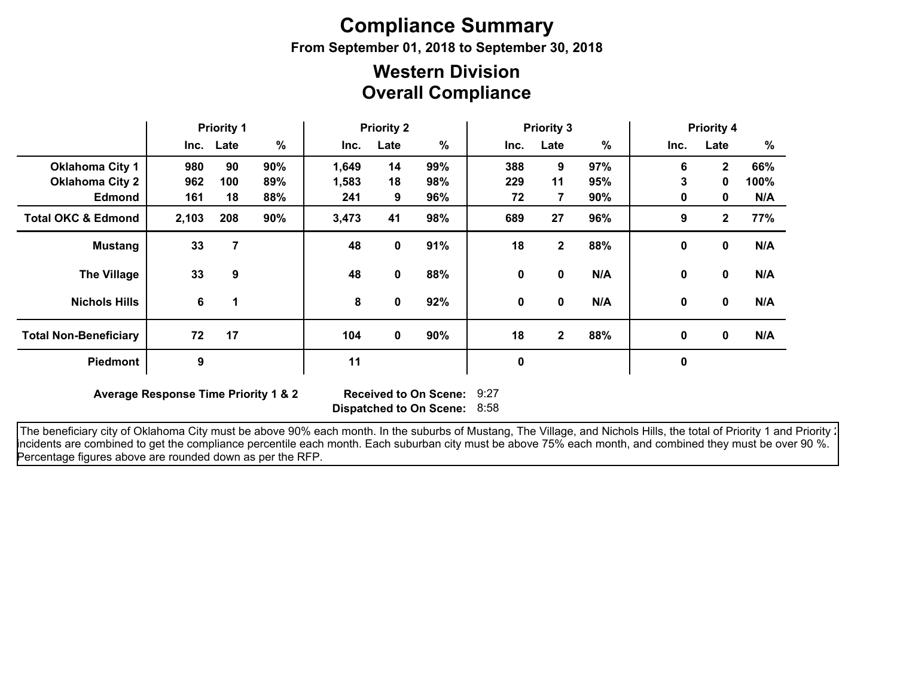# **Compliance Summary**

**From September 01, 2018 to September 30, 2018**

## **Overall Compliance Western Division**

|                               | <b>Priority 1</b> |           |     | <b>Priority 2</b> |      | <b>Priority 3</b> |      |                |      | <b>Priority 4</b> |                |      |
|-------------------------------|-------------------|-----------|-----|-------------------|------|-------------------|------|----------------|------|-------------------|----------------|------|
|                               |                   | Inc. Late | %   | Inc.              | Late | $\%$              | Inc. | Late           | $\%$ | Inc.              | Late           | %    |
| <b>Oklahoma City 1</b>        | 980               | 90        | 90% | 1,649             | 14   | 99%               | 388  | 9              | 97%  | 6                 | $\mathbf{2}$   | 66%  |
| <b>Oklahoma City 2</b>        | 962               | 100       | 89% | 1,583             | 18   | 98%               | 229  | 11             | 95%  | 3                 | $\mathbf{0}$   | 100% |
| <b>Edmond</b>                 | 161               | 18        | 88% | 241               | 9    | 96%               | 72   | $\overline{7}$ | 90%  | 0                 | 0              | N/A  |
| <b>Total OKC &amp; Edmond</b> | 2,103             | 208       | 90% | 3,473             | 41   | 98%               | 689  | 27             | 96%  | 9                 | $\overline{2}$ | 77%  |
| <b>Mustang</b>                | 33                | 7         |     | 48                | 0    | 91%               | 18   | $\mathbf{2}$   | 88%  | 0                 | 0              | N/A  |
| <b>The Village</b>            | 33                | 9         |     | 48                | 0    | 88%               | 0    | 0              | N/A  | 0                 | $\mathbf 0$    | N/A  |
| <b>Nichols Hills</b>          | 6                 | 1         |     | 8                 | 0    | 92%               | 0    | 0              | N/A  | 0                 | $\mathbf{0}$   | N/A  |
| <b>Total Non-Beneficiary</b>  | 72                | 17        |     | 104               | 0    | 90%               | 18   | $\mathbf{2}$   | 88%  | 0                 | $\mathbf 0$    | N/A  |
| <b>Piedmont</b>               | 9                 |           |     | 11                |      |                   | 0    |                |      | $\mathbf 0$       |                |      |

**Average Response Time Priority 1 & 2** 

**Dispatched to On Scene:** 8:58 Received to On Scene: 9:27

The beneficiary city of Oklahoma City must be above 90% each month. In the suburbs of Mustang, The Village, and Nichols Hills, the total of Priority 1 and Priority : incidents are combined to get the compliance percentile each month. Each suburban city must be above 75% each month, and combined they must be over 90 %. Percentage figures above are rounded down as per the RFP.